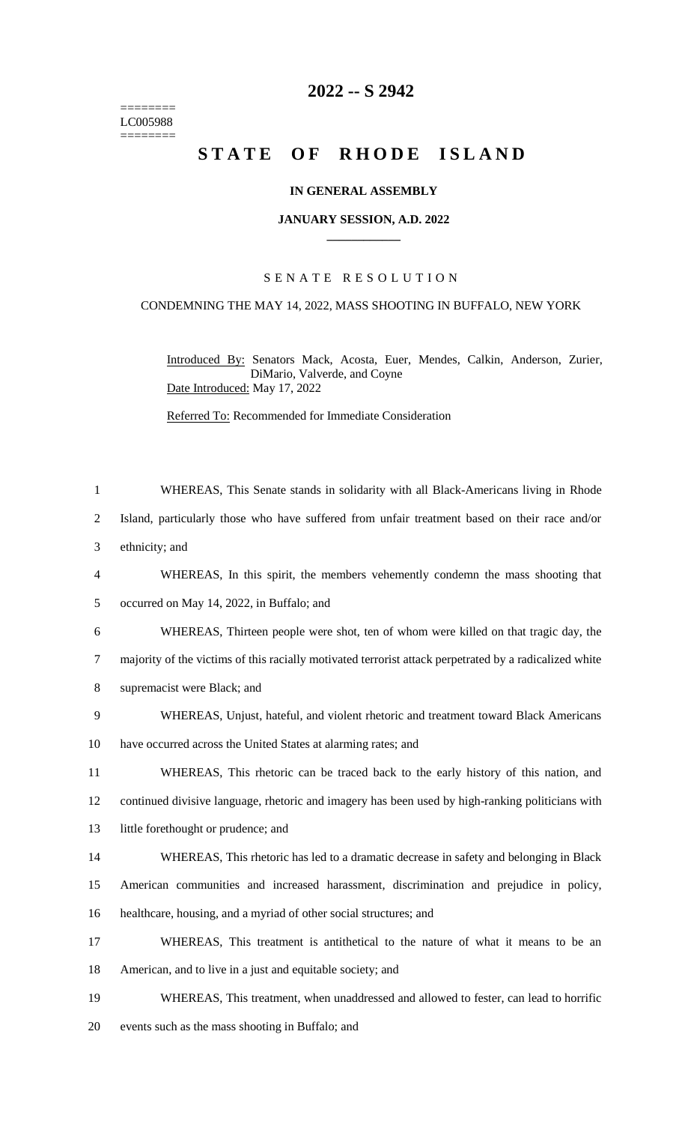======== LC005988 ========

## **2022 -- S 2942**

# STATE OF RHODE ISLAND

#### **IN GENERAL ASSEMBLY**

#### **JANUARY SESSION, A.D. 2022 \_\_\_\_\_\_\_\_\_\_\_\_**

### S E N A T E R E S O L U T I O N

#### CONDEMNING THE MAY 14, 2022, MASS SHOOTING IN BUFFALO, NEW YORK

Introduced By: Senators Mack, Acosta, Euer, Mendes, Calkin, Anderson, Zurier, DiMario, Valverde, and Coyne Date Introduced: May 17, 2022

Referred To: Recommended for Immediate Consideration

 WHEREAS, This Senate stands in solidarity with all Black-Americans living in Rhode Island, particularly those who have suffered from unfair treatment based on their race and/or ethnicity; and WHEREAS, In this spirit, the members vehemently condemn the mass shooting that occurred on May 14, 2022, in Buffalo; and WHEREAS, Thirteen people were shot, ten of whom were killed on that tragic day, the majority of the victims of this racially motivated terrorist attack perpetrated by a radicalized white supremacist were Black; and WHEREAS, Unjust, hateful, and violent rhetoric and treatment toward Black Americans have occurred across the United States at alarming rates; and WHEREAS, This rhetoric can be traced back to the early history of this nation, and continued divisive language, rhetoric and imagery has been used by high-ranking politicians with 13 little forethought or prudence; and WHEREAS, This rhetoric has led to a dramatic decrease in safety and belonging in Black American communities and increased harassment, discrimination and prejudice in policy, healthcare, housing, and a myriad of other social structures; and WHEREAS, This treatment is antithetical to the nature of what it means to be an American, and to live in a just and equitable society; and WHEREAS, This treatment, when unaddressed and allowed to fester, can lead to horrific events such as the mass shooting in Buffalo; and